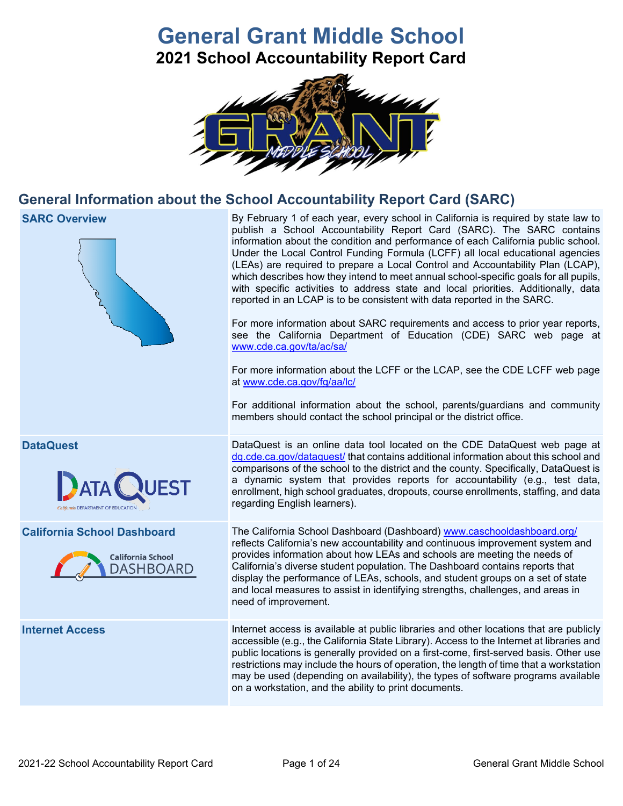# **General Grant Middle School 2021 School Accountability Report Card**



## **General Information about the School Accountability Report Card (SARC)**



**SARC Overview** By February 1 of each year, every school in California is required by state law to publish a School Accountability Report Card (SARC). The SARC contains information about the condition and performance of each California public school. Under the Local Control Funding Formula (LCFF) all local educational agencies (LEAs) are required to prepare a Local Control and Accountability Plan (LCAP), which describes how they intend to meet annual school-specific goals for all pupils, with specific activities to address state and local priorities. Additionally, data reported in an LCAP is to be consistent with data reported in the SARC.

> For more information about SARC requirements and access to prior year reports, see the California Department of Education (CDE) SARC web page at [www.cde.ca.gov/ta/ac/sa/](https://www.cde.ca.gov/ta/ac/sa/)

> For more information about the LCFF or the LCAP, see the CDE LCFF web page at [www.cde.ca.gov/fg/aa/lc/](https://www.cde.ca.gov/fg/aa/lc/)

> For additional information about the school, parents/guardians and community members should contact the school principal or the district office.

**DataQuest** DataQuest is an online data tool located on the CDE DataQuest web page at [dq.cde.ca.gov/dataquest/](https://dq.cde.ca.gov/dataquest/) that contains additional information about this school and comparisons of the school to the district and the county. Specifically, DataQuest is a dynamic system that provides reports for accountability (e.g., test data, enrollment, high school graduates, dropouts, course enrollments, staffing, and data regarding English learners).

**California School Dashboard** The California School Dashboard (Dashboard) [www.caschooldashboard.org/](http://www.caschooldashboard.org/) reflects California's new accountability and continuous improvement system and provides information about how LEAs and schools are meeting the needs of California's diverse student population. The Dashboard contains reports that display the performance of LEAs, schools, and student groups on a set of state and local measures to assist in identifying strengths, challenges, and areas in need of improvement.

**Internet Access** Internet access is available at public libraries and other locations that are publicly accessible (e.g., the California State Library). Access to the Internet at libraries and public locations is generally provided on a first-come, first-served basis. Other use restrictions may include the hours of operation, the length of time that a workstation may be used (depending on availability), the types of software programs available on a workstation, and the ability to print documents.



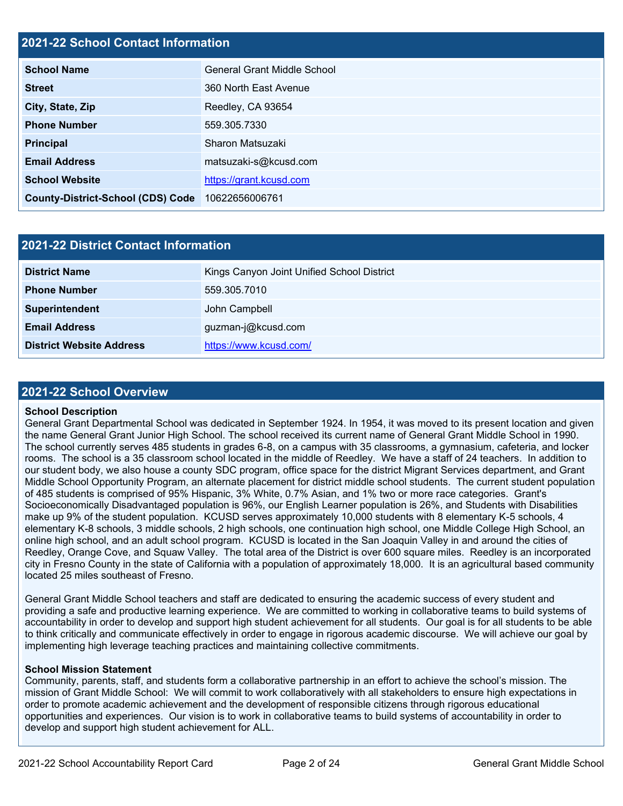## **2021-22 School Contact Information**

| <b>School Name</b>                       | <b>General Grant Middle School</b> |
|------------------------------------------|------------------------------------|
| <b>Street</b>                            | 360 North East Avenue              |
| City, State, Zip                         | Reedley, CA 93654                  |
| <b>Phone Number</b>                      | 559.305.7330                       |
| <b>Principal</b>                         | Sharon Matsuzaki                   |
| <b>Email Address</b>                     | matsuzaki-s@kcusd.com              |
| <b>School Website</b>                    | https://grant.kcusd.com            |
| <b>County-District-School (CDS) Code</b> | 10622656006761                     |

| <b>2021-22 District Contact Information</b> |                                            |  |  |  |  |
|---------------------------------------------|--------------------------------------------|--|--|--|--|
| <b>District Name</b>                        | Kings Canyon Joint Unified School District |  |  |  |  |
| <b>Phone Number</b>                         | 559.305.7010                               |  |  |  |  |
| Superintendent                              | John Campbell                              |  |  |  |  |
| <b>Email Address</b>                        | guzman-j@kcusd.com                         |  |  |  |  |
| <b>District Website Address</b>             | https://www.kcusd.com/                     |  |  |  |  |

### **2021-22 School Overview**

#### **School Description**

General Grant Departmental School was dedicated in September 1924. In 1954, it was moved to its present location and given the name General Grant Junior High School. The school received its current name of General Grant Middle School in 1990. The school currently serves 485 students in grades 6-8, on a campus with 35 classrooms, a gymnasium, cafeteria, and locker rooms. The school is a 35 classroom school located in the middle of Reedley. We have a staff of 24 teachers. In addition to our student body, we also house a county SDC program, office space for the district Migrant Services department, and Grant Middle School Opportunity Program, an alternate placement for district middle school students. The current student population of 485 students is comprised of 95% Hispanic, 3% White, 0.7% Asian, and 1% two or more race categories. Grant's Socioeconomically Disadvantaged population is 96%, our English Learner population is 26%, and Students with Disabilities make up 9% of the student population. KCUSD serves approximately 10,000 students with 8 elementary K-5 schools, 4 elementary K-8 schools, 3 middle schools, 2 high schools, one continuation high school, one Middle College High School, an online high school, and an adult school program. KCUSD is located in the San Joaquin Valley in and around the cities of Reedley, Orange Cove, and Squaw Valley. The total area of the District is over 600 square miles. Reedley is an incorporated city in Fresno County in the state of California with a population of approximately 18,000. It is an agricultural based community located 25 miles southeast of Fresno.

General Grant Middle School teachers and staff are dedicated to ensuring the academic success of every student and providing a safe and productive learning experience. We are committed to working in collaborative teams to build systems of accountability in order to develop and support high student achievement for all students. Our goal is for all students to be able to think critically and communicate effectively in order to engage in rigorous academic discourse. We will achieve our goal by implementing high leverage teaching practices and maintaining collective commitments.

#### **School Mission Statement**

Community, parents, staff, and students form a collaborative partnership in an effort to achieve the school's mission. The mission of Grant Middle School: We will commit to work collaboratively with all stakeholders to ensure high expectations in order to promote academic achievement and the development of responsible citizens through rigorous educational opportunities and experiences. Our vision is to work in collaborative teams to build systems of accountability in order to develop and support high student achievement for ALL.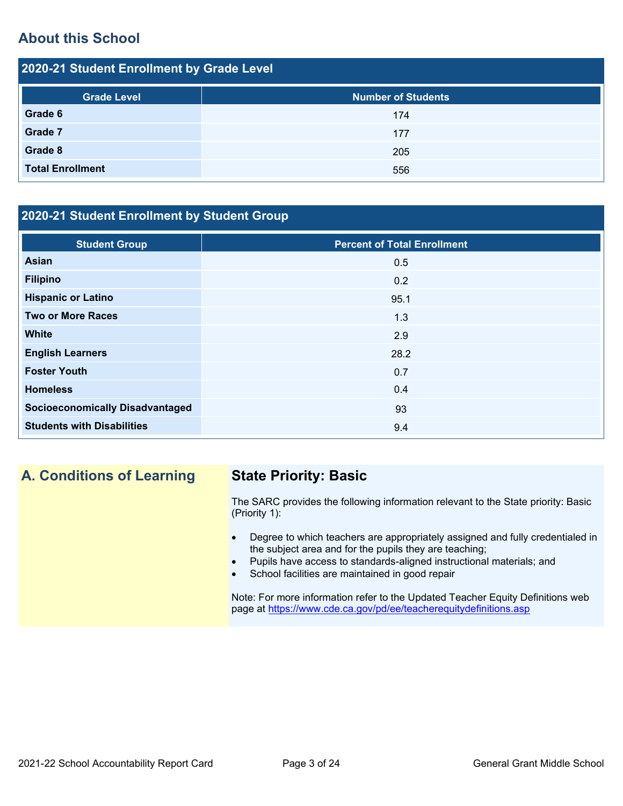## **About this School**

| 2020-21 Student Enrollment by Grade Level |                           |  |  |  |  |
|-------------------------------------------|---------------------------|--|--|--|--|
| <b>Grade Level</b>                        | <b>Number of Students</b> |  |  |  |  |
| Grade 6                                   | 174                       |  |  |  |  |
| Grade 7                                   | 177                       |  |  |  |  |
| Grade 8                                   | 205                       |  |  |  |  |
| <b>Total Enrollment</b>                   | 556                       |  |  |  |  |

## **2020-21 Student Enrollment by Student Group**

| <b>Student Group</b>                   | <b>Percent of Total Enrollment</b> |
|----------------------------------------|------------------------------------|
| Asian                                  | 0.5                                |
| <b>Filipino</b>                        | 0.2                                |
| <b>Hispanic or Latino</b>              | 95.1                               |
| <b>Two or More Races</b>               | 1.3                                |
| <b>White</b>                           | 2.9                                |
| <b>English Learners</b>                | 28.2                               |
| <b>Foster Youth</b>                    | 0.7                                |
| <b>Homeless</b>                        | 0.4                                |
| <b>Socioeconomically Disadvantaged</b> | 93                                 |
| <b>Students with Disabilities</b>      | 9.4                                |

## **A. Conditions of Learning State Priority: Basic**

The SARC provides the following information relevant to the State priority: Basic (Priority 1):

- Degree to which teachers are appropriately assigned and fully credentialed in the subject area and for the pupils they are teaching;
- Pupils have access to standards-aligned instructional materials; and
- School facilities are maintained in good repair

Note: For more information refer to the Updated Teacher Equity Definitions web page at<https://www.cde.ca.gov/pd/ee/teacherequitydefinitions.asp>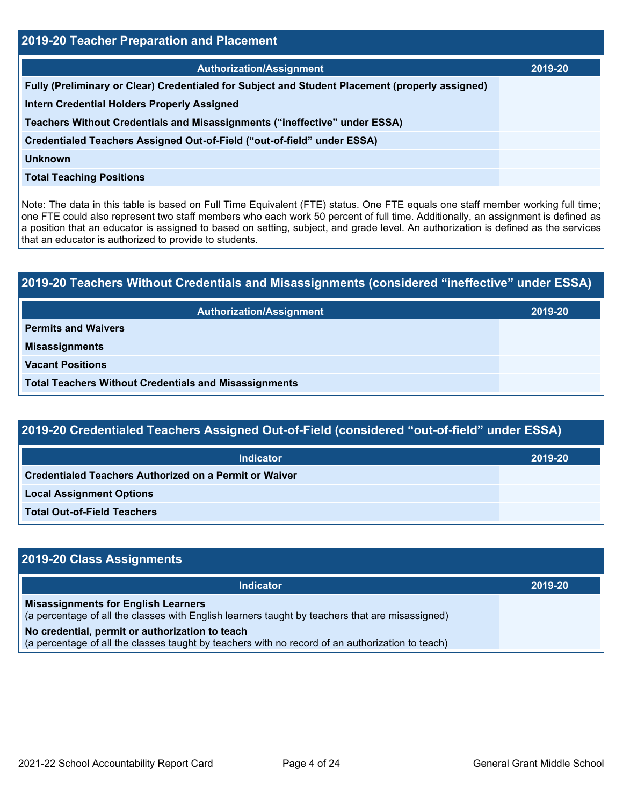| 2019-20 Teacher Preparation and Placement                                                       |         |  |  |  |  |
|-------------------------------------------------------------------------------------------------|---------|--|--|--|--|
| <b>Authorization/Assignment</b>                                                                 | 2019-20 |  |  |  |  |
| Fully (Preliminary or Clear) Credentialed for Subject and Student Placement (properly assigned) |         |  |  |  |  |
| <b>Intern Credential Holders Properly Assigned</b>                                              |         |  |  |  |  |
| Teachers Without Credentials and Misassignments ("ineffective" under ESSA)                      |         |  |  |  |  |
| Credentialed Teachers Assigned Out-of-Field ("out-of-field" under ESSA)                         |         |  |  |  |  |
| <b>Unknown</b>                                                                                  |         |  |  |  |  |
| <b>Total Teaching Positions</b>                                                                 |         |  |  |  |  |

Note: The data in this table is based on Full Time Equivalent (FTE) status. One FTE equals one staff member working full time; one FTE could also represent two staff members who each work 50 percent of full time. Additionally, an assignment is defined as a position that an educator is assigned to based on setting, subject, and grade level. An authorization is defined as the services that an educator is authorized to provide to students.

# **2019-20 Teachers Without Credentials and Misassignments (considered "ineffective" under ESSA) Authorization/Assignment 2019-20 Permits and Waivers Misassignments Vacant Positions Total Teachers Without Credentials and Misassignments**

## **2019-20 Credentialed Teachers Assigned Out-of-Field (considered "out-of-field" under ESSA)**

| <b>Indicator</b>                                              | 2019-20 |
|---------------------------------------------------------------|---------|
| <b>Credentialed Teachers Authorized on a Permit or Waiver</b> |         |
| <b>Local Assignment Options</b>                               |         |
| <b>Total Out-of-Field Teachers</b>                            |         |

## **2019-20 Class Assignments Indicator 2019-20 Misassignments for English Learners** (a percentage of all the classes with English learners taught by teachers that are misassigned) **No credential, permit or authorization to teach** (a percentage of all the classes taught by teachers with no record of an authorization to teach)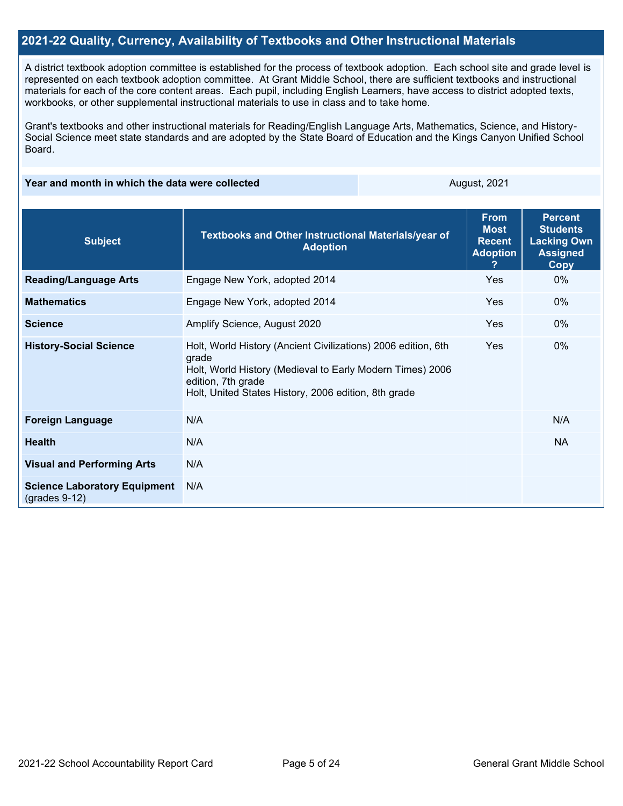### **2021-22 Quality, Currency, Availability of Textbooks and Other Instructional Materials**

A district textbook adoption committee is established for the process of textbook adoption. Each school site and grade level is represented on each textbook adoption committee. At Grant Middle School, there are sufficient textbooks and instructional materials for each of the core content areas. Each pupil, including English Learners, have access to district adopted texts, workbooks, or other supplemental instructional materials to use in class and to take home.

Grant's textbooks and other instructional materials for Reading/English Language Arts, Mathematics, Science, and History-Social Science meet state standards and are adopted by the State Board of Education and the Kings Canyon Unified School Board.

**Year and month in which the data were collected** August, 2021

| <b>Subject</b>                                         | Textbooks and Other Instructional Materials/year of<br><b>Adoption</b>                                                                                                                                            | <b>From</b><br><b>Most</b><br><b>Recent</b><br><b>Adoption</b><br>2. | <b>Percent</b><br><b>Students</b><br><b>Lacking Own</b><br><b>Assigned</b><br>Copy |
|--------------------------------------------------------|-------------------------------------------------------------------------------------------------------------------------------------------------------------------------------------------------------------------|----------------------------------------------------------------------|------------------------------------------------------------------------------------|
| <b>Reading/Language Arts</b>                           | Engage New York, adopted 2014                                                                                                                                                                                     | Yes                                                                  | $0\%$                                                                              |
| <b>Mathematics</b>                                     | Engage New York, adopted 2014                                                                                                                                                                                     | Yes                                                                  | $0\%$                                                                              |
| <b>Science</b>                                         | Amplify Science, August 2020                                                                                                                                                                                      | Yes                                                                  | $0\%$                                                                              |
| <b>History-Social Science</b>                          | Holt, World History (Ancient Civilizations) 2006 edition, 6th<br>grade<br>Holt, World History (Medieval to Early Modern Times) 2006<br>edition, 7th grade<br>Holt, United States History, 2006 edition, 8th grade | Yes                                                                  | $0\%$                                                                              |
| <b>Foreign Language</b>                                | N/A                                                                                                                                                                                                               |                                                                      | N/A                                                                                |
| <b>Health</b>                                          | N/A                                                                                                                                                                                                               |                                                                      | <b>NA</b>                                                                          |
| <b>Visual and Performing Arts</b>                      | N/A                                                                                                                                                                                                               |                                                                      |                                                                                    |
| <b>Science Laboratory Equipment</b><br>$(grades 9-12)$ | N/A                                                                                                                                                                                                               |                                                                      |                                                                                    |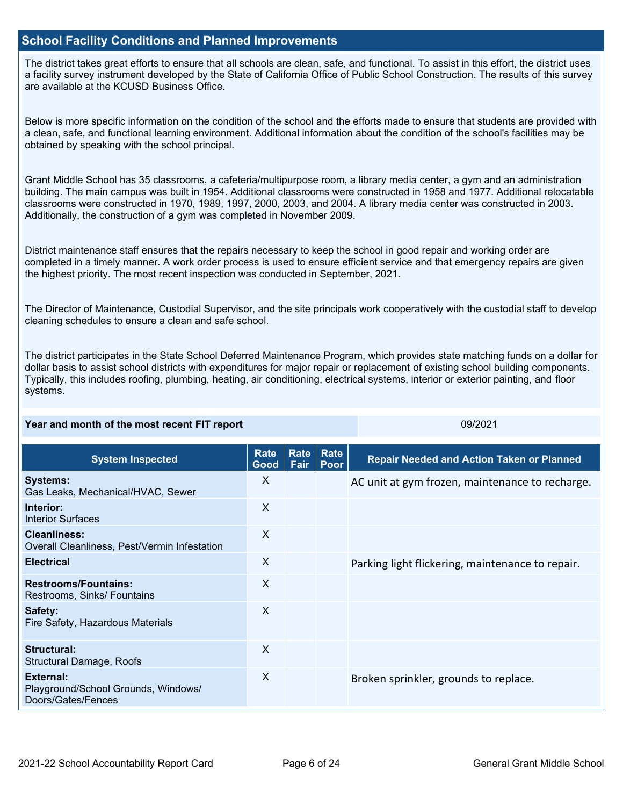### **School Facility Conditions and Planned Improvements**

The district takes great efforts to ensure that all schools are clean, safe, and functional. To assist in this effort, the district uses a facility survey instrument developed by the State of California Office of Public School Construction. The results of this survey are available at the KCUSD Business Office.

Below is more specific information on the condition of the school and the efforts made to ensure that students are provided with a clean, safe, and functional learning environment. Additional information about the condition of the school's facilities may be obtained by speaking with the school principal.

Grant Middle School has 35 classrooms, a cafeteria/multipurpose room, a library media center, a gym and an administration building. The main campus was built in 1954. Additional classrooms were constructed in 1958 and 1977. Additional relocatable classrooms were constructed in 1970, 1989, 1997, 2000, 2003, and 2004. A library media center was constructed in 2003. Additionally, the construction of a gym was completed in November 2009.

District maintenance staff ensures that the repairs necessary to keep the school in good repair and working order are completed in a timely manner. A work order process is used to ensure efficient service and that emergency repairs are given the highest priority. The most recent inspection was conducted in September, 2021.

The Director of Maintenance, Custodial Supervisor, and the site principals work cooperatively with the custodial staff to develop cleaning schedules to ensure a clean and safe school.

The district participates in the State School Deferred Maintenance Program, which provides state matching funds on a dollar for dollar basis to assist school districts with expenditures for major repair or replacement of existing school building components. Typically, this includes roofing, plumbing, heating, air conditioning, electrical systems, interior or exterior painting, and floor systems.

| Year and month of the most recent FIT report                           |              |              | 09/2021      |                                                  |
|------------------------------------------------------------------------|--------------|--------------|--------------|--------------------------------------------------|
| <b>System Inspected</b>                                                | Rate<br>Good | Rate<br>Fair | Rate<br>Poor | <b>Repair Needed and Action Taken or Planned</b> |
| <b>Systems:</b><br>Gas Leaks, Mechanical/HVAC, Sewer                   | X            |              |              | AC unit at gym frozen, maintenance to recharge.  |
| Interior:<br><b>Interior Surfaces</b>                                  | X            |              |              |                                                  |
| <b>Cleanliness:</b><br>Overall Cleanliness, Pest/Vermin Infestation    | $\mathsf{X}$ |              |              |                                                  |
| <b>Electrical</b>                                                      | X            |              |              | Parking light flickering, maintenance to repair. |
| <b>Restrooms/Fountains:</b><br>Restrooms, Sinks/ Fountains             | $\sf X$      |              |              |                                                  |
| Safety:<br>Fire Safety, Hazardous Materials                            | X            |              |              |                                                  |
| <b>Structural:</b><br><b>Structural Damage, Roofs</b>                  | $\mathsf{X}$ |              |              |                                                  |
| External:<br>Playground/School Grounds, Windows/<br>Doors/Gates/Fences | X            |              |              | Broken sprinkler, grounds to replace.            |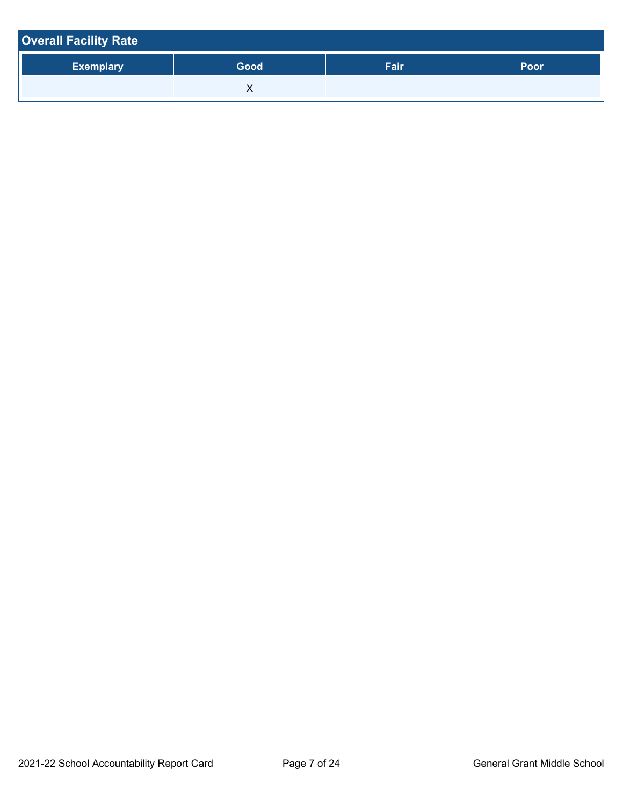| <b>Overall Facility Rate</b> |      |      |      |
|------------------------------|------|------|------|
| <b>Exemplary</b>             | Good | Fair | Poor |
|                              |      |      |      |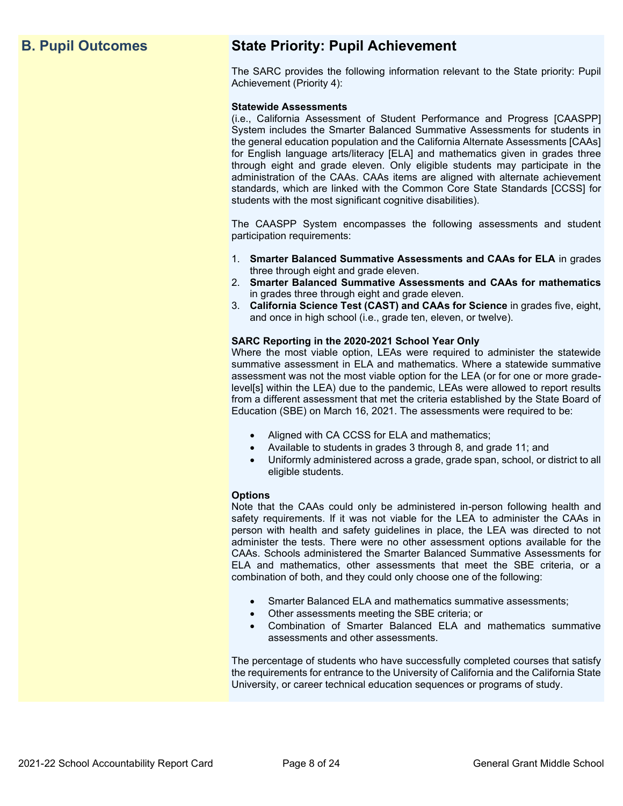## **B. Pupil Outcomes State Priority: Pupil Achievement**

The SARC provides the following information relevant to the State priority: Pupil Achievement (Priority 4):

#### **Statewide Assessments**

(i.e., California Assessment of Student Performance and Progress [CAASPP] System includes the Smarter Balanced Summative Assessments for students in the general education population and the California Alternate Assessments [CAAs] for English language arts/literacy [ELA] and mathematics given in grades three through eight and grade eleven. Only eligible students may participate in the administration of the CAAs. CAAs items are aligned with alternate achievement standards, which are linked with the Common Core State Standards [CCSS] for students with the most significant cognitive disabilities).

The CAASPP System encompasses the following assessments and student participation requirements:

- 1. **Smarter Balanced Summative Assessments and CAAs for ELA** in grades three through eight and grade eleven.
- 2. **Smarter Balanced Summative Assessments and CAAs for mathematics** in grades three through eight and grade eleven.
- 3. **California Science Test (CAST) and CAAs for Science** in grades five, eight, and once in high school (i.e., grade ten, eleven, or twelve).

#### **SARC Reporting in the 2020-2021 School Year Only**

Where the most viable option, LEAs were required to administer the statewide summative assessment in ELA and mathematics. Where a statewide summative assessment was not the most viable option for the LEA (or for one or more gradelevel[s] within the LEA) due to the pandemic, LEAs were allowed to report results from a different assessment that met the criteria established by the State Board of Education (SBE) on March 16, 2021. The assessments were required to be:

- Aligned with CA CCSS for ELA and mathematics;
- Available to students in grades 3 through 8, and grade 11; and
- Uniformly administered across a grade, grade span, school, or district to all eligible students.

#### **Options**

Note that the CAAs could only be administered in-person following health and safety requirements. If it was not viable for the LEA to administer the CAAs in person with health and safety guidelines in place, the LEA was directed to not administer the tests. There were no other assessment options available for the CAAs. Schools administered the Smarter Balanced Summative Assessments for ELA and mathematics, other assessments that meet the SBE criteria, or a combination of both, and they could only choose one of the following:

- Smarter Balanced ELA and mathematics summative assessments;
- Other assessments meeting the SBE criteria; or
- Combination of Smarter Balanced ELA and mathematics summative assessments and other assessments.

The percentage of students who have successfully completed courses that satisfy the requirements for entrance to the University of California and the California State University, or career technical education sequences or programs of study.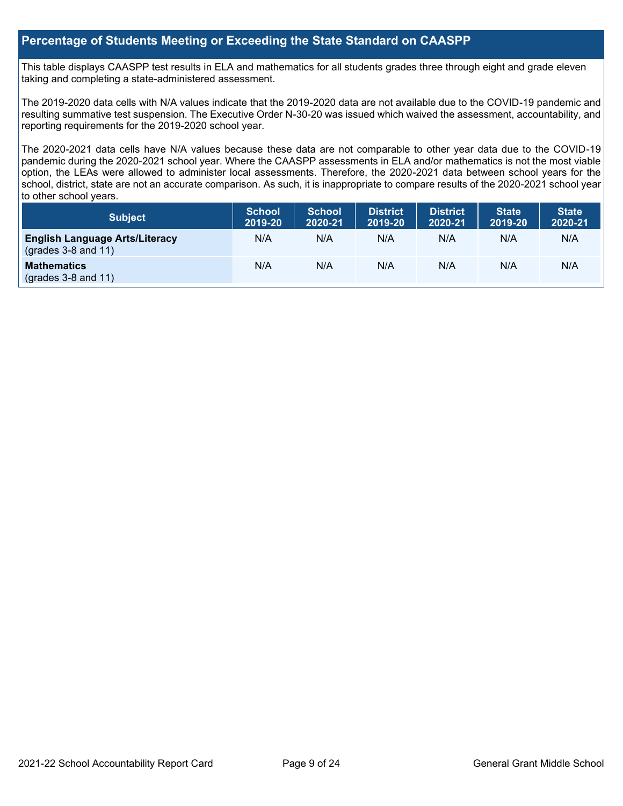## **Percentage of Students Meeting or Exceeding the State Standard on CAASPP**

This table displays CAASPP test results in ELA and mathematics for all students grades three through eight and grade eleven taking and completing a state-administered assessment.

The 2019-2020 data cells with N/A values indicate that the 2019-2020 data are not available due to the COVID-19 pandemic and resulting summative test suspension. The Executive Order N-30-20 was issued which waived the assessment, accountability, and reporting requirements for the 2019-2020 school year.

The 2020-2021 data cells have N/A values because these data are not comparable to other year data due to the COVID-19 pandemic during the 2020-2021 school year. Where the CAASPP assessments in ELA and/or mathematics is not the most viable option, the LEAs were allowed to administer local assessments. Therefore, the 2020-2021 data between school years for the school, district, state are not an accurate comparison. As such, it is inappropriate to compare results of the 2020-2021 school year to other school years.

| Subject                                                              | <b>School</b><br>2019-20 | <b>School</b><br>2020-21 | <b>District</b><br>2019-20 | <b>District</b><br>2020-21 | <b>State</b><br>2019-20 | <b>State</b><br>2020-21 |
|----------------------------------------------------------------------|--------------------------|--------------------------|----------------------------|----------------------------|-------------------------|-------------------------|
| <b>English Language Arts/Literacy</b><br>$\left($ grades 3-8 and 11) | N/A                      | N/A                      | N/A                        | N/A                        | N/A                     | N/A                     |
| <b>Mathematics</b><br>$(grades 3-8 and 11)$                          | N/A                      | N/A                      | N/A                        | N/A                        | N/A                     | N/A                     |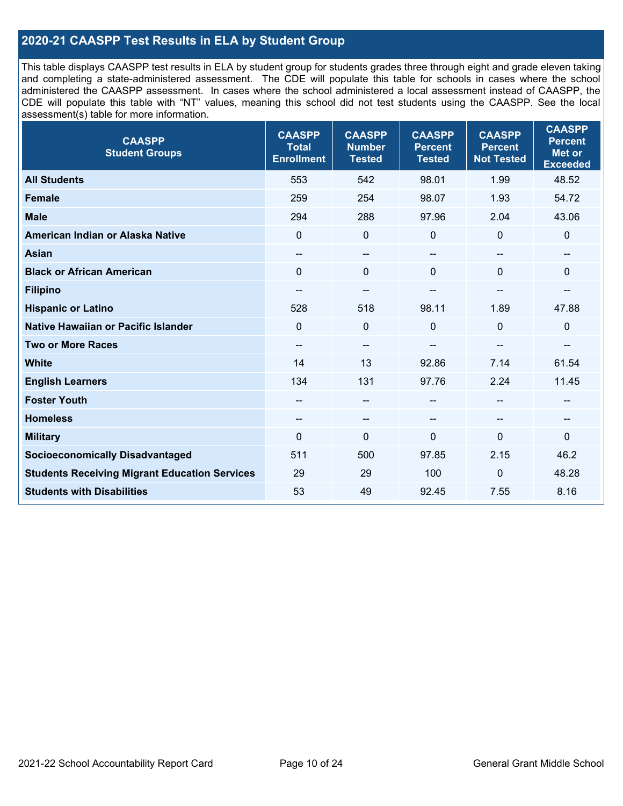## **2020-21 CAASPP Test Results in ELA by Student Group**

This table displays CAASPP test results in ELA by student group for students grades three through eight and grade eleven taking and completing a state-administered assessment. The CDE will populate this table for schools in cases where the school administered the CAASPP assessment. In cases where the school administered a local assessment instead of CAASPP, the CDE will populate this table with "NT" values, meaning this school did not test students using the CAASPP. See the local assessment(s) table for more information.

| <b>CAASPP</b><br><b>Student Groups</b>               | <b>CAASPP</b><br><b>Total</b><br><b>Enrollment</b> | <b>CAASPP</b><br><b>Number</b><br><b>Tested</b> | <b>CAASPP</b><br><b>Percent</b><br><b>Tested</b> | <b>CAASPP</b><br><b>Percent</b><br><b>Not Tested</b> | <b>CAASPP</b><br><b>Percent</b><br><b>Met or</b><br><b>Exceeded</b> |
|------------------------------------------------------|----------------------------------------------------|-------------------------------------------------|--------------------------------------------------|------------------------------------------------------|---------------------------------------------------------------------|
| <b>All Students</b>                                  | 553                                                | 542                                             | 98.01                                            | 1.99                                                 | 48.52                                                               |
| <b>Female</b>                                        | 259                                                | 254                                             | 98.07                                            | 1.93                                                 | 54.72                                                               |
| <b>Male</b>                                          | 294                                                | 288                                             | 97.96                                            | 2.04                                                 | 43.06                                                               |
| American Indian or Alaska Native                     | $\mathbf 0$                                        | $\mathbf 0$                                     | 0                                                | 0                                                    | $\mathbf 0$                                                         |
| <b>Asian</b>                                         | --                                                 | $-$                                             | --                                               | --                                                   | --                                                                  |
| <b>Black or African American</b>                     | $\mathbf{0}$                                       | $\Omega$                                        | $\mathbf 0$                                      | $\Omega$                                             | $\mathbf 0$                                                         |
| <b>Filipino</b>                                      | $\hspace{0.05cm}$ – $\hspace{0.05cm}$              | $\qquad \qquad -$                               | --                                               | --                                                   | $\sim$                                                              |
| <b>Hispanic or Latino</b>                            | 528                                                | 518                                             | 98.11                                            | 1.89                                                 | 47.88                                                               |
| <b>Native Hawaiian or Pacific Islander</b>           | $\mathbf{0}$                                       | $\mathbf 0$                                     | $\mathbf 0$                                      | 0                                                    | $\mathbf 0$                                                         |
| <b>Two or More Races</b>                             | $\overline{\phantom{m}}$                           | $\qquad \qquad -$                               | --                                               | --                                                   | $\overline{\phantom{a}}$                                            |
| <b>White</b>                                         | 14                                                 | 13                                              | 92.86                                            | 7.14                                                 | 61.54                                                               |
| <b>English Learners</b>                              | 134                                                | 131                                             | 97.76                                            | 2.24                                                 | 11.45                                                               |
| <b>Foster Youth</b>                                  | --                                                 | $-$                                             | --                                               | --                                                   | --                                                                  |
| <b>Homeless</b>                                      | $\hspace{0.05cm}$ – $\hspace{0.05cm}$              | --                                              | --                                               | $\overline{\phantom{a}}$                             | $\hspace{0.05cm}$                                                   |
| <b>Military</b>                                      | $\mathbf{0}$                                       | 0                                               | $\mathbf 0$                                      | $\overline{0}$                                       | 0                                                                   |
| <b>Socioeconomically Disadvantaged</b>               | 511                                                | 500                                             | 97.85                                            | 2.15                                                 | 46.2                                                                |
| <b>Students Receiving Migrant Education Services</b> | 29                                                 | 29                                              | 100                                              | 0                                                    | 48.28                                                               |
| <b>Students with Disabilities</b>                    | 53                                                 | 49                                              | 92.45                                            | 7.55                                                 | 8.16                                                                |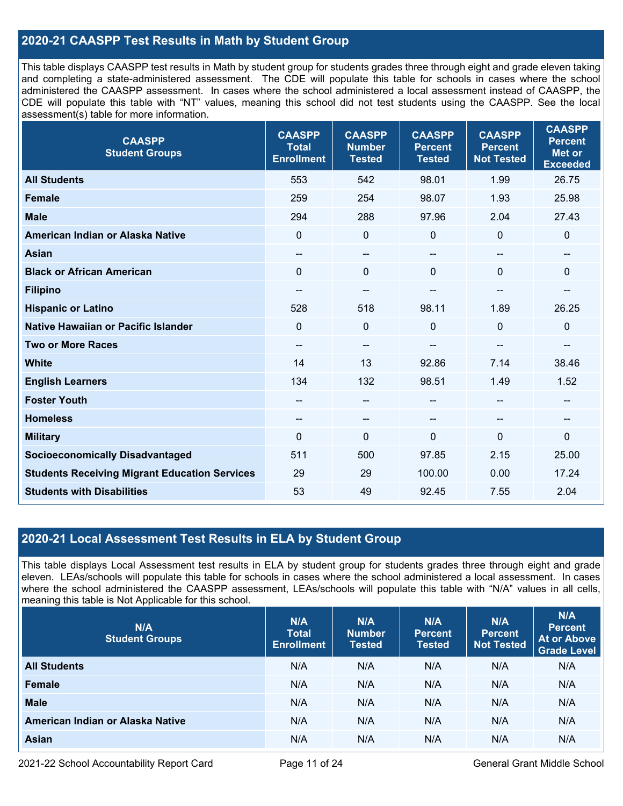## **2020-21 CAASPP Test Results in Math by Student Group**

This table displays CAASPP test results in Math by student group for students grades three through eight and grade eleven taking and completing a state-administered assessment. The CDE will populate this table for schools in cases where the school administered the CAASPP assessment. In cases where the school administered a local assessment instead of CAASPP, the CDE will populate this table with "NT" values, meaning this school did not test students using the CAASPP. See the local assessment(s) table for more information.

| <b>CAASPP</b><br><b>Student Groups</b>               | <b>CAASPP</b><br><b>Total</b><br><b>Enrollment</b> | <b>CAASPP</b><br><b>Number</b><br><b>Tested</b> | <b>CAASPP</b><br><b>Percent</b><br><b>Tested</b> | <b>CAASPP</b><br><b>Percent</b><br><b>Not Tested</b> | <b>CAASPP</b><br><b>Percent</b><br><b>Met or</b><br><b>Exceeded</b> |
|------------------------------------------------------|----------------------------------------------------|-------------------------------------------------|--------------------------------------------------|------------------------------------------------------|---------------------------------------------------------------------|
| <b>All Students</b>                                  | 553                                                | 542                                             | 98.01                                            | 1.99                                                 | 26.75                                                               |
| <b>Female</b>                                        | 259                                                | 254                                             | 98.07                                            | 1.93                                                 | 25.98                                                               |
| <b>Male</b>                                          | 294                                                | 288                                             | 97.96                                            | 2.04                                                 | 27.43                                                               |
| American Indian or Alaska Native                     | $\mathbf{0}$                                       | $\mathbf 0$                                     | 0                                                | $\mathbf 0$                                          | $\mathbf 0$                                                         |
| <b>Asian</b>                                         | --                                                 | $\qquad \qquad -$                               | $-$                                              |                                                      | $\qquad \qquad -$                                                   |
| <b>Black or African American</b>                     | $\mathbf{0}$                                       | $\mathbf 0$                                     | $\Omega$                                         | $\Omega$                                             | $\mathbf 0$                                                         |
| <b>Filipino</b>                                      | --                                                 | $\qquad \qquad -$                               | --                                               | --                                                   | $\qquad \qquad -$                                                   |
| <b>Hispanic or Latino</b>                            | 528                                                | 518                                             | 98.11                                            | 1.89                                                 | 26.25                                                               |
| <b>Native Hawaiian or Pacific Islander</b>           | $\mathbf{0}$                                       | $\mathbf 0$                                     | 0                                                | $\mathbf 0$                                          | $\pmb{0}$                                                           |
| <b>Two or More Races</b>                             | $\qquad \qquad -$                                  | $-$                                             | --                                               | --                                                   | --                                                                  |
| <b>White</b>                                         | 14                                                 | 13                                              | 92.86                                            | 7.14                                                 | 38.46                                                               |
| <b>English Learners</b>                              | 134                                                | 132                                             | 98.51                                            | 1.49                                                 | 1.52                                                                |
| <b>Foster Youth</b>                                  |                                                    | --                                              |                                                  |                                                      | --                                                                  |
| <b>Homeless</b>                                      | $\qquad \qquad -$                                  | $\sim$                                          | --                                               | --                                                   | $\hspace{0.05cm} \cdots$                                            |
| <b>Military</b>                                      | $\mathbf 0$                                        | $\mathbf 0$                                     | 0                                                | $\mathbf 0$                                          | $\mathbf 0$                                                         |
| <b>Socioeconomically Disadvantaged</b>               | 511                                                | 500                                             | 97.85                                            | 2.15                                                 | 25.00                                                               |
| <b>Students Receiving Migrant Education Services</b> | 29                                                 | 29                                              | 100.00                                           | 0.00                                                 | 17.24                                                               |
| <b>Students with Disabilities</b>                    | 53                                                 | 49                                              | 92.45                                            | 7.55                                                 | 2.04                                                                |

## **2020-21 Local Assessment Test Results in ELA by Student Group**

This table displays Local Assessment test results in ELA by student group for students grades three through eight and grade eleven. LEAs/schools will populate this table for schools in cases where the school administered a local assessment. In cases where the school administered the CAASPP assessment, LEAs/schools will populate this table with "N/A" values in all cells, meaning this table is Not Applicable for this school.

| N/A<br><b>Student Groups</b>     | N/A<br><b>Total</b><br><b>Enrollment</b> | N/A<br><b>Number</b><br><b>Tested</b> | N/A<br><b>Percent</b><br><b>Tested</b> | N/A<br>Percent<br><b>Not Tested</b> | N/A<br><b>Percent</b><br><b>At or Above</b><br><b>Grade Level</b> |
|----------------------------------|------------------------------------------|---------------------------------------|----------------------------------------|-------------------------------------|-------------------------------------------------------------------|
| <b>All Students</b>              | N/A                                      | N/A                                   | N/A                                    | N/A                                 | N/A                                                               |
| Female                           | N/A                                      | N/A                                   | N/A                                    | N/A                                 | N/A                                                               |
| <b>Male</b>                      | N/A                                      | N/A                                   | N/A                                    | N/A                                 | N/A                                                               |
| American Indian or Alaska Native | N/A                                      | N/A                                   | N/A                                    | N/A                                 | N/A                                                               |
| <b>Asian</b>                     | N/A                                      | N/A                                   | N/A                                    | N/A                                 | N/A                                                               |

2021-22 School Accountability Report Card Page 11 of 24 General Grant Middle School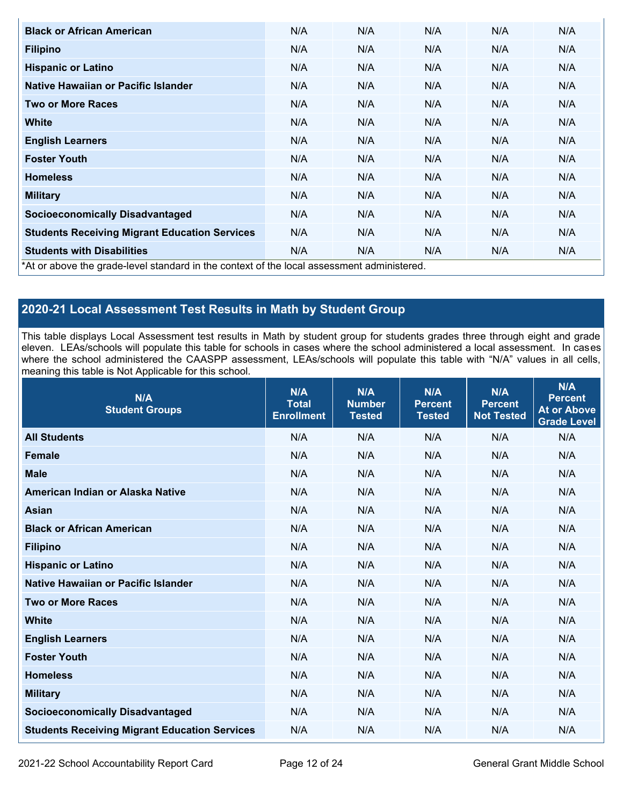| <b>Black or African American</b>                                                          | N/A | N/A | N/A | N/A | N/A |
|-------------------------------------------------------------------------------------------|-----|-----|-----|-----|-----|
| <b>Filipino</b>                                                                           | N/A | N/A | N/A | N/A | N/A |
| <b>Hispanic or Latino</b>                                                                 | N/A | N/A | N/A | N/A | N/A |
| Native Hawaiian or Pacific Islander                                                       | N/A | N/A | N/A | N/A | N/A |
| <b>Two or More Races</b>                                                                  | N/A | N/A | N/A | N/A | N/A |
| White                                                                                     | N/A | N/A | N/A | N/A | N/A |
| <b>English Learners</b>                                                                   | N/A | N/A | N/A | N/A | N/A |
| <b>Foster Youth</b>                                                                       | N/A | N/A | N/A | N/A | N/A |
| <b>Homeless</b>                                                                           | N/A | N/A | N/A | N/A | N/A |
| <b>Military</b>                                                                           | N/A | N/A | N/A | N/A | N/A |
| <b>Socioeconomically Disadvantaged</b>                                                    | N/A | N/A | N/A | N/A | N/A |
| <b>Students Receiving Migrant Education Services</b>                                      | N/A | N/A | N/A | N/A | N/A |
| <b>Students with Disabilities</b>                                                         | N/A | N/A | N/A | N/A | N/A |
| *At or above the grade-level standard in the context of the local assessment administered |     |     |     |     |     |

\*At or above the grade-level standard in the context of the local assessment administered.

## **2020-21 Local Assessment Test Results in Math by Student Group**

This table displays Local Assessment test results in Math by student group for students grades three through eight and grade eleven. LEAs/schools will populate this table for schools in cases where the school administered a local assessment. In cases where the school administered the CAASPP assessment, LEAs/schools will populate this table with "N/A" values in all cells, meaning this table is Not Applicable for this school.

| N/A<br><b>Student Groups</b>                         | N/A<br><b>Total</b><br><b>Enrollment</b> | N/A<br><b>Number</b><br><b>Tested</b> | N/A<br><b>Percent</b><br><b>Tested</b> | N/A<br><b>Percent</b><br><b>Not Tested</b> | N/A<br><b>Percent</b><br><b>At or Above</b><br><b>Grade Level</b> |
|------------------------------------------------------|------------------------------------------|---------------------------------------|----------------------------------------|--------------------------------------------|-------------------------------------------------------------------|
| <b>All Students</b>                                  | N/A                                      | N/A                                   | N/A                                    | N/A                                        | N/A                                                               |
| <b>Female</b>                                        | N/A                                      | N/A                                   | N/A                                    | N/A                                        | N/A                                                               |
| <b>Male</b>                                          | N/A                                      | N/A                                   | N/A                                    | N/A                                        | N/A                                                               |
| American Indian or Alaska Native                     | N/A                                      | N/A                                   | N/A                                    | N/A                                        | N/A                                                               |
| <b>Asian</b>                                         | N/A                                      | N/A                                   | N/A                                    | N/A                                        | N/A                                                               |
| <b>Black or African American</b>                     | N/A                                      | N/A                                   | N/A                                    | N/A                                        | N/A                                                               |
| <b>Filipino</b>                                      | N/A                                      | N/A                                   | N/A                                    | N/A                                        | N/A                                                               |
| <b>Hispanic or Latino</b>                            | N/A                                      | N/A                                   | N/A                                    | N/A                                        | N/A                                                               |
| Native Hawaiian or Pacific Islander                  | N/A                                      | N/A                                   | N/A                                    | N/A                                        | N/A                                                               |
| <b>Two or More Races</b>                             | N/A                                      | N/A                                   | N/A                                    | N/A                                        | N/A                                                               |
| <b>White</b>                                         | N/A                                      | N/A                                   | N/A                                    | N/A                                        | N/A                                                               |
| <b>English Learners</b>                              | N/A                                      | N/A                                   | N/A                                    | N/A                                        | N/A                                                               |
| <b>Foster Youth</b>                                  | N/A                                      | N/A                                   | N/A                                    | N/A                                        | N/A                                                               |
| <b>Homeless</b>                                      | N/A                                      | N/A                                   | N/A                                    | N/A                                        | N/A                                                               |
| <b>Military</b>                                      | N/A                                      | N/A                                   | N/A                                    | N/A                                        | N/A                                                               |
| <b>Socioeconomically Disadvantaged</b>               | N/A                                      | N/A                                   | N/A                                    | N/A                                        | N/A                                                               |
| <b>Students Receiving Migrant Education Services</b> | N/A                                      | N/A                                   | N/A                                    | N/A                                        | N/A                                                               |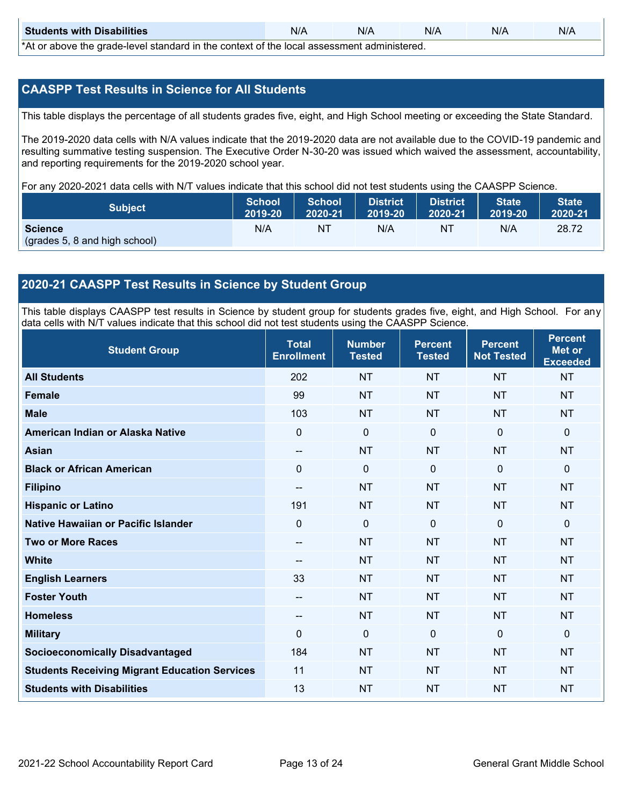| <b>Students with Disabilities</b>                                                           | N/A | N/A | N/A | N/A | N/A |  |
|---------------------------------------------------------------------------------------------|-----|-----|-----|-----|-----|--|
| *At as above the escale level standard in the context of the local accordinate admissioned. |     |     |     |     |     |  |

\*At or above the grade-level standard in the context of the local assessment administered.

## **CAASPP Test Results in Science for All Students**

This table displays the percentage of all students grades five, eight, and High School meeting or exceeding the State Standard.

The 2019-2020 data cells with N/A values indicate that the 2019-2020 data are not available due to the COVID-19 pandemic and resulting summative testing suspension. The Executive Order N-30-20 was issued which waived the assessment, accountability, and reporting requirements for the 2019-2020 school year.

For any 2020-2021 data cells with N/T values indicate that this school did not test students using the CAASPP Science.

| <b>Subject</b>                                  | <b>School</b> | <b>School</b> | <b>District</b> | District | <b>State</b> | <b>State</b> |
|-------------------------------------------------|---------------|---------------|-----------------|----------|--------------|--------------|
|                                                 | 2019-20       | 2020-21       | 2019-20         | 2020-21  | 2019-20      | 2020-21      |
| <b>Science</b><br>(grades 5, 8 and high school) | N/A           | ΝT            | N/A             | NT       | N/A          | 28.72        |

## **2020-21 CAASPP Test Results in Science by Student Group**

This table displays CAASPP test results in Science by student group for students grades five, eight, and High School. For any data cells with N/T values indicate that this school did not test students using the CAASPP Science.

| <b>Student Group</b>                                 | <b>Total</b><br><b>Enrollment</b> | <b>Number</b><br><b>Tested</b> | <b>Percent</b><br><b>Tested</b> | <b>Percent</b><br><b>Not Tested</b> | <b>Percent</b><br><b>Met or</b><br><b>Exceeded</b> |
|------------------------------------------------------|-----------------------------------|--------------------------------|---------------------------------|-------------------------------------|----------------------------------------------------|
| <b>All Students</b>                                  | 202                               | <b>NT</b>                      | <b>NT</b>                       | <b>NT</b>                           | <b>NT</b>                                          |
| Female                                               | 99                                | <b>NT</b>                      | <b>NT</b>                       | <b>NT</b>                           | <b>NT</b>                                          |
| <b>Male</b>                                          | 103                               | <b>NT</b>                      | <b>NT</b>                       | <b>NT</b>                           | <b>NT</b>                                          |
| American Indian or Alaska Native                     | $\mathbf 0$                       | $\mathbf 0$                    | $\mathbf 0$                     | $\mathbf 0$                         | $\mathbf{0}$                                       |
| <b>Asian</b>                                         | --                                | <b>NT</b>                      | <b>NT</b>                       | <b>NT</b>                           | <b>NT</b>                                          |
| <b>Black or African American</b>                     | 0                                 | $\mathbf 0$                    | $\mathbf 0$                     | $\mathbf 0$                         | $\mathbf 0$                                        |
| <b>Filipino</b>                                      | $\qquad \qquad -$                 | <b>NT</b>                      | <b>NT</b>                       | <b>NT</b>                           | <b>NT</b>                                          |
| <b>Hispanic or Latino</b>                            | 191                               | <b>NT</b>                      | <b>NT</b>                       | <b>NT</b>                           | <b>NT</b>                                          |
| Native Hawaiian or Pacific Islander                  | 0                                 | $\mathbf 0$                    | $\mathbf{0}$                    | $\mathbf 0$                         | $\mathbf{0}$                                       |
| <b>Two or More Races</b>                             | --                                | <b>NT</b>                      | <b>NT</b>                       | <b>NT</b>                           | <b>NT</b>                                          |
| <b>White</b>                                         | $\sim$                            | <b>NT</b>                      | <b>NT</b>                       | <b>NT</b>                           | <b>NT</b>                                          |
| <b>English Learners</b>                              | 33                                | <b>NT</b>                      | <b>NT</b>                       | <b>NT</b>                           | <b>NT</b>                                          |
| <b>Foster Youth</b>                                  | --                                | <b>NT</b>                      | <b>NT</b>                       | <b>NT</b>                           | <b>NT</b>                                          |
| <b>Homeless</b>                                      | --                                | <b>NT</b>                      | <b>NT</b>                       | <b>NT</b>                           | <b>NT</b>                                          |
| <b>Military</b>                                      | 0                                 | $\mathbf 0$                    | $\mathbf{0}$                    | $\mathbf{0}$                        | $\mathbf{0}$                                       |
| <b>Socioeconomically Disadvantaged</b>               | 184                               | <b>NT</b>                      | <b>NT</b>                       | <b>NT</b>                           | <b>NT</b>                                          |
| <b>Students Receiving Migrant Education Services</b> | 11                                | <b>NT</b>                      | <b>NT</b>                       | <b>NT</b>                           | <b>NT</b>                                          |
| <b>Students with Disabilities</b>                    | 13                                | <b>NT</b>                      | <b>NT</b>                       | <b>NT</b>                           | <b>NT</b>                                          |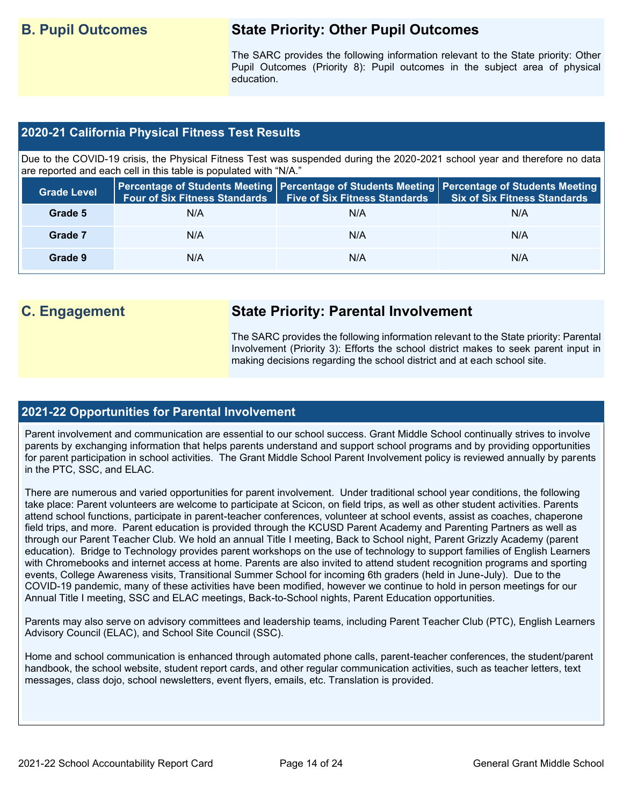## **B. Pupil Outcomes State Priority: Other Pupil Outcomes**

The SARC provides the following information relevant to the State priority: Other Pupil Outcomes (Priority 8): Pupil outcomes in the subject area of physical education.

## **2020-21 California Physical Fitness Test Results**

Due to the COVID-19 crisis, the Physical Fitness Test was suspended during the 2020-2021 school year and therefore no data are reported and each cell in this table is populated with "N/A."

| <b>Grade Level</b> | <b>Four of Six Fitness Standards</b> | Five of Six Fitness Standards   Six of Six Fitness Standards | Percentage of Students Meeting   Percentage of Students Meeting   Percentage of Students Meeting |
|--------------------|--------------------------------------|--------------------------------------------------------------|--------------------------------------------------------------------------------------------------|
| Grade 5            | N/A                                  | N/A                                                          | N/A                                                                                              |
| Grade 7            | N/A                                  | N/A                                                          | N/A                                                                                              |
| Grade 9            | N/A                                  | N/A                                                          | N/A                                                                                              |

## **C. Engagement State Priority: Parental Involvement**

The SARC provides the following information relevant to the State priority: Parental Involvement (Priority 3): Efforts the school district makes to seek parent input in making decisions regarding the school district and at each school site.

### **2021-22 Opportunities for Parental Involvement**

Parent involvement and communication are essential to our school success. Grant Middle School continually strives to involve parents by exchanging information that helps parents understand and support school programs and by providing opportunities for parent participation in school activities. The Grant Middle School Parent Involvement policy is reviewed annually by parents in the PTC, SSC, and ELAC.

There are numerous and varied opportunities for parent involvement. Under traditional school year conditions, the following take place: Parent volunteers are welcome to participate at Scicon, on field trips, as well as other student activities. Parents attend school functions, participate in parent-teacher conferences, volunteer at school events, assist as coaches, chaperone field trips, and more. Parent education is provided through the KCUSD Parent Academy and Parenting Partners as well as through our Parent Teacher Club. We hold an annual Title I meeting, Back to School night, Parent Grizzly Academy (parent education). Bridge to Technology provides parent workshops on the use of technology to support families of English Learners with Chromebooks and internet access at home. Parents are also invited to attend student recognition programs and sporting events, College Awareness visits, Transitional Summer School for incoming 6th graders (held in June-July). Due to the COVID-19 pandemic, many of these activities have been modified, however we continue to hold in person meetings for our Annual Title I meeting, SSC and ELAC meetings, Back-to-School nights, Parent Education opportunities.

Parents may also serve on advisory committees and leadership teams, including Parent Teacher Club (PTC), English Learners Advisory Council (ELAC), and School Site Council (SSC).

Home and school communication is enhanced through automated phone calls, parent-teacher conferences, the student/parent handbook, the school website, student report cards, and other regular communication activities, such as teacher letters, text messages, class dojo, school newsletters, event flyers, emails, etc. Translation is provided.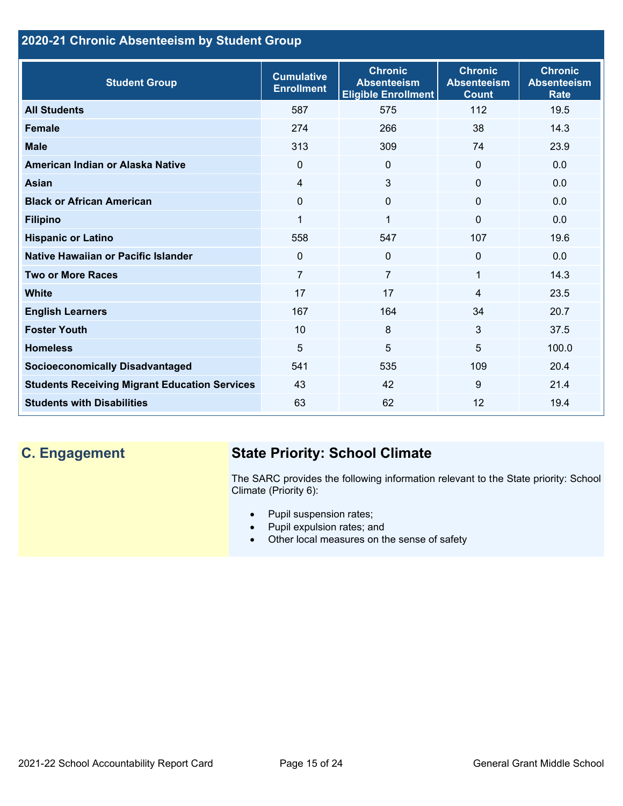## **2020-21 Chronic Absenteeism by Student Group**

| <b>Student Group</b>                                 | <b>Cumulative</b><br><b>Enrollment</b> | <b>Chronic</b><br><b>Absenteeism</b><br><b>Eligible Enrollment</b> | <b>Chronic</b><br><b>Absenteeism</b><br><b>Count</b> | <b>Chronic</b><br><b>Absenteeism</b><br><b>Rate</b> |
|------------------------------------------------------|----------------------------------------|--------------------------------------------------------------------|------------------------------------------------------|-----------------------------------------------------|
| <b>All Students</b>                                  | 587                                    | 575                                                                | 112                                                  | 19.5                                                |
| <b>Female</b>                                        | 274                                    | 266                                                                | 38                                                   | 14.3                                                |
| <b>Male</b>                                          | 313                                    | 309                                                                | 74                                                   | 23.9                                                |
| American Indian or Alaska Native                     | $\Omega$                               | $\Omega$                                                           | $\mathbf{0}$                                         | 0.0                                                 |
| <b>Asian</b>                                         | 4                                      | 3                                                                  | $\mathbf{0}$                                         | 0.0                                                 |
| <b>Black or African American</b>                     | 0                                      | 0                                                                  | $\mathbf{0}$                                         | 0.0                                                 |
| <b>Filipino</b>                                      | 1                                      | $\mathbf 1$                                                        | $\mathbf{0}$                                         | 0.0                                                 |
| <b>Hispanic or Latino</b>                            | 558                                    | 547                                                                | 107                                                  | 19.6                                                |
| Native Hawaiian or Pacific Islander                  | 0                                      | 0                                                                  | 0                                                    | 0.0                                                 |
| <b>Two or More Races</b>                             | $\overline{7}$                         | $\overline{7}$                                                     | 1                                                    | 14.3                                                |
| <b>White</b>                                         | 17                                     | 17                                                                 | 4                                                    | 23.5                                                |
| <b>English Learners</b>                              | 167                                    | 164                                                                | 34                                                   | 20.7                                                |
| <b>Foster Youth</b>                                  | 10                                     | 8                                                                  | 3                                                    | 37.5                                                |
| <b>Homeless</b>                                      | 5                                      | 5                                                                  | 5                                                    | 100.0                                               |
| <b>Socioeconomically Disadvantaged</b>               | 541                                    | 535                                                                | 109                                                  | 20.4                                                |
| <b>Students Receiving Migrant Education Services</b> | 43                                     | 42                                                                 | 9                                                    | 21.4                                                |
| <b>Students with Disabilities</b>                    | 63                                     | 62                                                                 | 12                                                   | 19.4                                                |

# **C. Engagement State Priority: School Climate**

The SARC provides the following information relevant to the State priority: School Climate (Priority 6):

- Pupil suspension rates;
- Pupil expulsion rates; and
- Other local measures on the sense of safety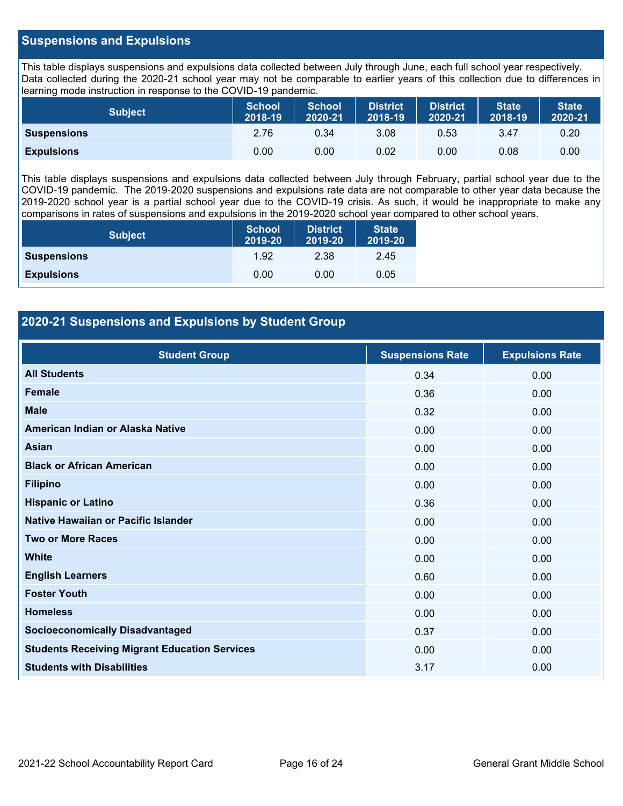## **Suspensions and Expulsions**

This table displays suspensions and expulsions data collected between July through June, each full school year respectively. Data collected during the 2020-21 school year may not be comparable to earlier years of this collection due to differences in learning mode instruction in response to the COVID-19 pandemic.

| <b>Subject</b>     | <b>School</b><br>2018-19 | <b>School</b><br>2020-21 | <b>District</b><br>2018-19 | <b>District</b><br>2020-21 | <b>State</b><br>2018-19 | <b>State</b><br>2020-21 |
|--------------------|--------------------------|--------------------------|----------------------------|----------------------------|-------------------------|-------------------------|
| <b>Suspensions</b> | 2.76                     | 0.34                     | 3.08                       | 0.53                       | 3.47                    | 0.20                    |
| <b>Expulsions</b>  | 0.00                     | 0.00                     | 0.02                       | 0.00                       | 0.08                    | 0.00                    |

This table displays suspensions and expulsions data collected between July through February, partial school year due to the COVID-19 pandemic. The 2019-2020 suspensions and expulsions rate data are not comparable to other year data because the 2019-2020 school year is a partial school year due to the COVID-19 crisis. As such, it would be inappropriate to make any comparisons in rates of suspensions and expulsions in the 2019-2020 school year compared to other school years.

| <b>Subject</b>     | <b>School</b><br>2019-20 | <b>District</b><br>2019-20 | <b>State</b><br>2019-20 |
|--------------------|--------------------------|----------------------------|-------------------------|
| <b>Suspensions</b> | 1.92                     | 2.38                       | 2.45                    |
| <b>Expulsions</b>  | 0.00                     | 0.00                       | 0.05                    |

## **2020-21 Suspensions and Expulsions by Student Group**

| <b>Student Group</b>                                 | <b>Suspensions Rate</b> | <b>Expulsions Rate</b> |
|------------------------------------------------------|-------------------------|------------------------|
| <b>All Students</b>                                  | 0.34                    | 0.00                   |
| <b>Female</b>                                        | 0.36                    | 0.00                   |
| <b>Male</b>                                          | 0.32                    | 0.00                   |
| American Indian or Alaska Native                     | 0.00                    | 0.00                   |
| <b>Asian</b>                                         | 0.00                    | 0.00                   |
| <b>Black or African American</b>                     | 0.00                    | 0.00                   |
| <b>Filipino</b>                                      | 0.00                    | 0.00                   |
| <b>Hispanic or Latino</b>                            | 0.36                    | 0.00                   |
| Native Hawaiian or Pacific Islander                  | 0.00                    | 0.00                   |
| <b>Two or More Races</b>                             | 0.00                    | 0.00                   |
| <b>White</b>                                         | 0.00                    | 0.00                   |
| <b>English Learners</b>                              | 0.60                    | 0.00                   |
| <b>Foster Youth</b>                                  | 0.00                    | 0.00                   |
| <b>Homeless</b>                                      | 0.00                    | 0.00                   |
| <b>Socioeconomically Disadvantaged</b>               | 0.37                    | 0.00                   |
| <b>Students Receiving Migrant Education Services</b> | 0.00                    | 0.00                   |
| <b>Students with Disabilities</b>                    | 3.17                    | 0.00                   |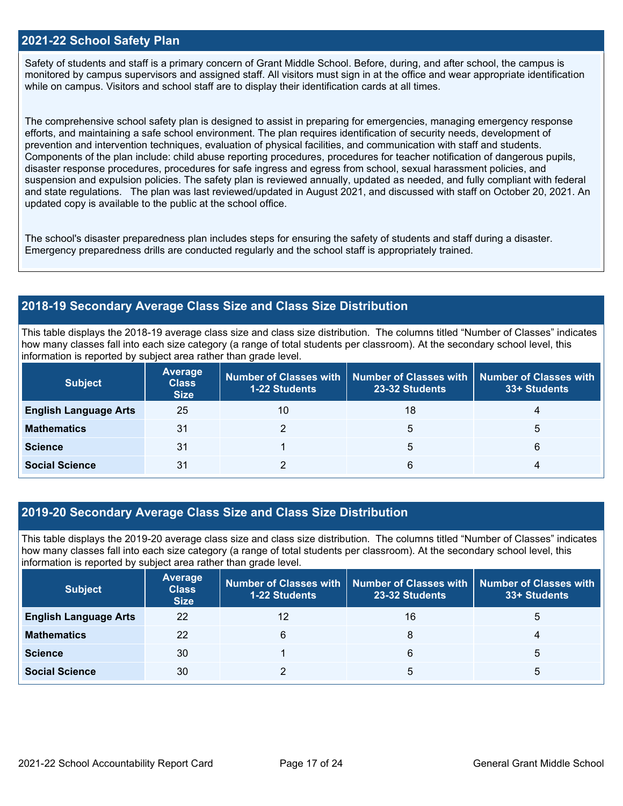### **2021-22 School Safety Plan**

Safety of students and staff is a primary concern of Grant Middle School. Before, during, and after school, the campus is monitored by campus supervisors and assigned staff. All visitors must sign in at the office and wear appropriate identification while on campus. Visitors and school staff are to display their identification cards at all times.

The comprehensive school safety plan is designed to assist in preparing for emergencies, managing emergency response efforts, and maintaining a safe school environment. The plan requires identification of security needs, development of prevention and intervention techniques, evaluation of physical facilities, and communication with staff and students. Components of the plan include: child abuse reporting procedures, procedures for teacher notification of dangerous pupils, disaster response procedures, procedures for safe ingress and egress from school, sexual harassment policies, and suspension and expulsion policies. The safety plan is reviewed annually, updated as needed, and fully compliant with federal and state regulations. The plan was last reviewed/updated in August 2021, and discussed with staff on October 20, 2021. An updated copy is available to the public at the school office.

The school's disaster preparedness plan includes steps for ensuring the safety of students and staff during a disaster. Emergency preparedness drills are conducted regularly and the school staff is appropriately trained.

## **2018-19 Secondary Average Class Size and Class Size Distribution**

This table displays the 2018-19 average class size and class size distribution. The columns titled "Number of Classes" indicates how many classes fall into each size category (a range of total students per classroom). At the secondary school level, this information is reported by subject area rather than grade level.

| <b>Subject</b>               | Average<br><b>Class</b><br><b>Size</b> | <b>1-22 Students</b> | Number of Classes with   Number of Classes with   Number of Classes with<br>23-32 Students | 33+ Students |
|------------------------------|----------------------------------------|----------------------|--------------------------------------------------------------------------------------------|--------------|
| <b>English Language Arts</b> | 25                                     | 10                   | 18                                                                                         |              |
| <b>Mathematics</b>           | 31                                     |                      | 5                                                                                          | b            |
| <b>Science</b>               | 31                                     |                      | 5                                                                                          | 6            |
| <b>Social Science</b>        | 31                                     |                      | 6                                                                                          | 4            |

## **2019-20 Secondary Average Class Size and Class Size Distribution**

This table displays the 2019-20 average class size and class size distribution. The columns titled "Number of Classes" indicates how many classes fall into each size category (a range of total students per classroom). At the secondary school level, this information is reported by subject area rather than grade level.

| <b>Subject</b>               | <b>Average</b><br><b>Class</b><br><b>Size</b> | <b>1-22 Students</b> | Number of Classes with   Number of Classes with   Number of Classes with<br>23-32 Students | 33+ Students |
|------------------------------|-----------------------------------------------|----------------------|--------------------------------------------------------------------------------------------|--------------|
| <b>English Language Arts</b> | 22                                            | 12                   | 16                                                                                         | 5            |
| <b>Mathematics</b>           | 22                                            | 6                    |                                                                                            | 4            |
| <b>Science</b>               | 30                                            |                      | 6                                                                                          | 5            |
| <b>Social Science</b>        | 30                                            |                      | 5                                                                                          | b            |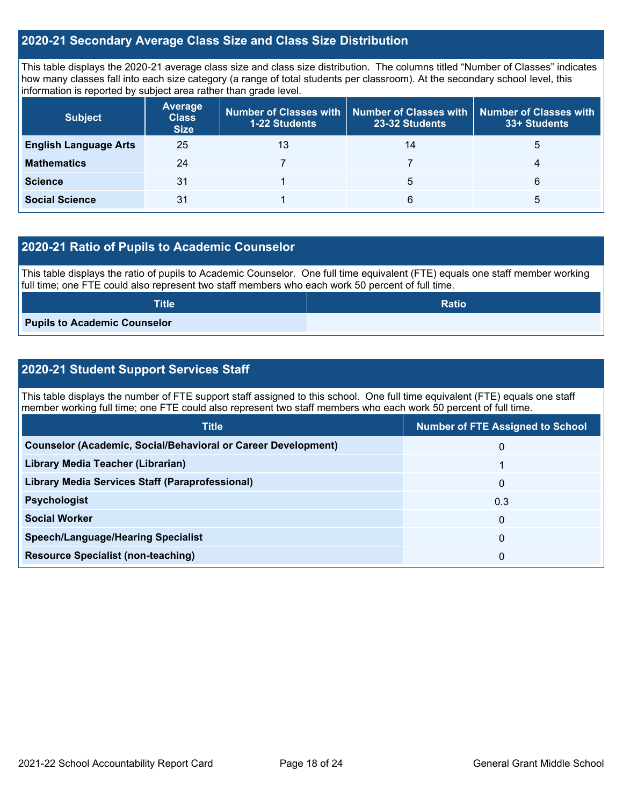## **2020-21 Secondary Average Class Size and Class Size Distribution**

This table displays the 2020-21 average class size and class size distribution. The columns titled "Number of Classes" indicates how many classes fall into each size category (a range of total students per classroom). At the secondary school level, this information is reported by subject area rather than grade level.

| <b>Subject</b>               | <b>Average</b><br><b>Class</b><br><b>Size</b> | <b>1-22 Students</b> | Number of Classes with   Number of Classes with  <br>23-32 Students | Number of Classes with<br>33+ Students |
|------------------------------|-----------------------------------------------|----------------------|---------------------------------------------------------------------|----------------------------------------|
| <b>English Language Arts</b> | 25                                            | 13                   | 14                                                                  | G                                      |
| <b>Mathematics</b>           | 24                                            |                      |                                                                     | 4                                      |
| <b>Science</b>               | 31                                            |                      | b                                                                   | 6                                      |
| <b>Social Science</b>        | 31                                            |                      | 6                                                                   | b                                      |

## **2020-21 Ratio of Pupils to Academic Counselor**

This table displays the ratio of pupils to Academic Counselor. One full time equivalent (FTE) equals one staff member working full time; one FTE could also represent two staff members who each work 50 percent of full time.

| <b>Title</b>                 | <b>Ratio</b> |
|------------------------------|--------------|
| Pupils to Academic Counselor |              |

## **2020-21 Student Support Services Staff**

This table displays the number of FTE support staff assigned to this school. One full time equivalent (FTE) equals one staff member working full time; one FTE could also represent two staff members who each work 50 percent of full time.

| <b>Title</b>                                                         | <b>Number of FTE Assigned to School</b> |
|----------------------------------------------------------------------|-----------------------------------------|
| <b>Counselor (Academic, Social/Behavioral or Career Development)</b> | $\overline{0}$                          |
| Library Media Teacher (Librarian)                                    |                                         |
| <b>Library Media Services Staff (Paraprofessional)</b>               | $\mathbf{0}$                            |
| <b>Psychologist</b>                                                  | 0.3                                     |
| <b>Social Worker</b>                                                 | $\mathbf{0}$                            |
| <b>Speech/Language/Hearing Specialist</b>                            | $\mathbf{0}$                            |
| <b>Resource Specialist (non-teaching)</b>                            | 0                                       |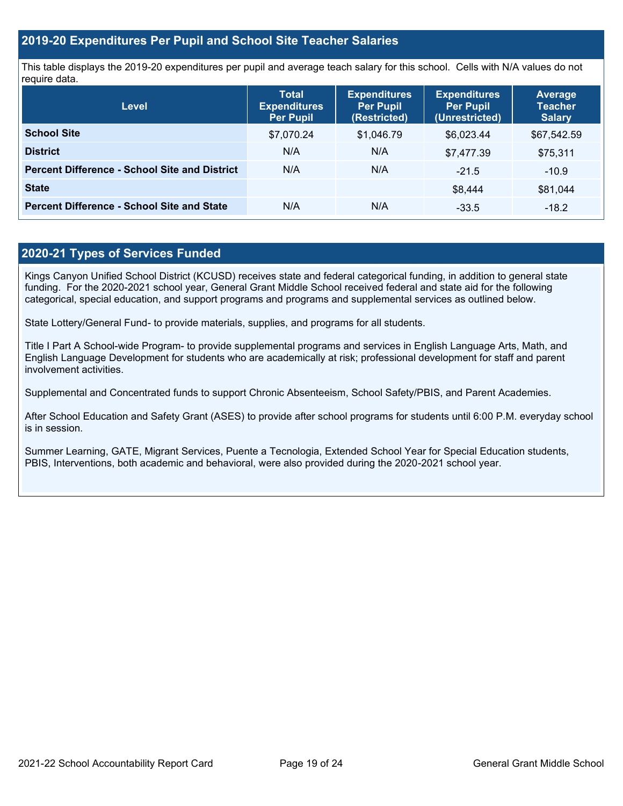## **2019-20 Expenditures Per Pupil and School Site Teacher Salaries**

This table displays the 2019-20 expenditures per pupil and average teach salary for this school. Cells with N/A values do not require data.

| Level                                                | <b>Total</b><br><b>Expenditures</b><br><b>Per Pupil</b> | <b>Expenditures</b><br><b>Per Pupil</b><br>(Restricted) | <b>Expenditures</b><br><b>Per Pupil</b><br>(Unrestricted) | <b>Average</b><br><b>Teacher</b><br><b>Salary</b> |
|------------------------------------------------------|---------------------------------------------------------|---------------------------------------------------------|-----------------------------------------------------------|---------------------------------------------------|
| <b>School Site</b>                                   | \$7,070.24                                              | \$1,046.79                                              | \$6,023.44                                                | \$67,542.59                                       |
| <b>District</b>                                      | N/A                                                     | N/A                                                     | \$7,477.39                                                | \$75,311                                          |
| <b>Percent Difference - School Site and District</b> | N/A                                                     | N/A                                                     | $-21.5$                                                   | $-10.9$                                           |
| <b>State</b>                                         |                                                         |                                                         | \$8.444                                                   | \$81,044                                          |
| <b>Percent Difference - School Site and State</b>    | N/A                                                     | N/A                                                     | $-33.5$                                                   | $-18.2$                                           |

## **2020-21 Types of Services Funded**

Kings Canyon Unified School District (KCUSD) receives state and federal categorical funding, in addition to general state funding. For the 2020-2021 school year, General Grant Middle School received federal and state aid for the following categorical, special education, and support programs and programs and supplemental services as outlined below.

State Lottery/General Fund- to provide materials, supplies, and programs for all students.

Title I Part A School-wide Program- to provide supplemental programs and services in English Language Arts, Math, and English Language Development for students who are academically at risk; professional development for staff and parent involvement activities.

Supplemental and Concentrated funds to support Chronic Absenteeism, School Safety/PBIS, and Parent Academies.

After School Education and Safety Grant (ASES) to provide after school programs for students until 6:00 P.M. everyday school is in session.

Summer Learning, GATE, Migrant Services, Puente a Tecnologia, Extended School Year for Special Education students, PBIS, Interventions, both academic and behavioral, were also provided during the 2020-2021 school year.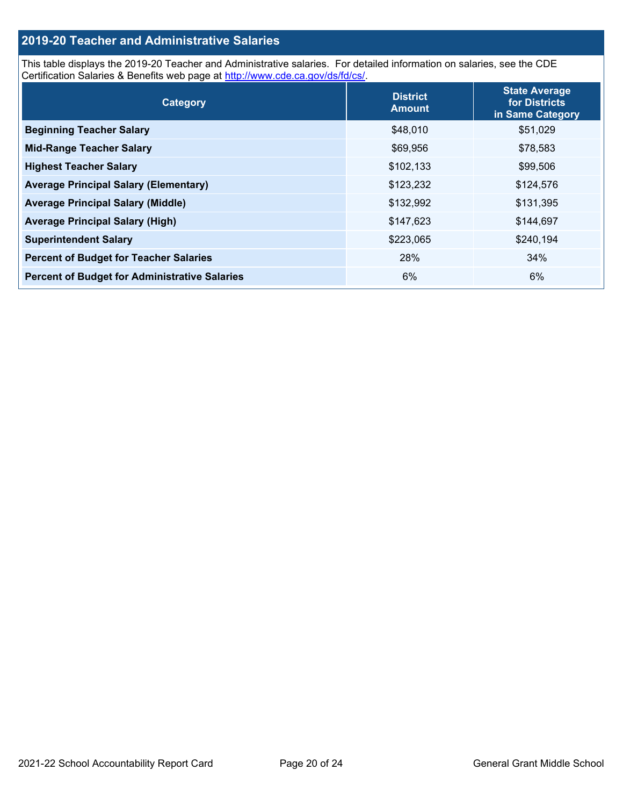## **2019-20 Teacher and Administrative Salaries**

This table displays the 2019-20 Teacher and Administrative salaries. For detailed information on salaries, see the CDE Certification Salaries & Benefits web page at [http://www.cde.ca.gov/ds/fd/cs/.](http://www.cde.ca.gov/ds/fd/cs/)

| Category                                             | <b>District</b><br><b>Amount</b> | <b>State Average</b><br>for Districts<br>in Same Category |
|------------------------------------------------------|----------------------------------|-----------------------------------------------------------|
| <b>Beginning Teacher Salary</b>                      | \$48,010                         | \$51,029                                                  |
| <b>Mid-Range Teacher Salary</b>                      | \$69,956                         | \$78,583                                                  |
| <b>Highest Teacher Salary</b>                        | \$102,133                        | \$99,506                                                  |
| <b>Average Principal Salary (Elementary)</b>         | \$123,232                        | \$124,576                                                 |
| <b>Average Principal Salary (Middle)</b>             | \$132,992                        | \$131,395                                                 |
| <b>Average Principal Salary (High)</b>               | \$147,623                        | \$144,697                                                 |
| <b>Superintendent Salary</b>                         | \$223,065                        | \$240,194                                                 |
| <b>Percent of Budget for Teacher Salaries</b>        | 28%                              | 34%                                                       |
| <b>Percent of Budget for Administrative Salaries</b> | 6%                               | 6%                                                        |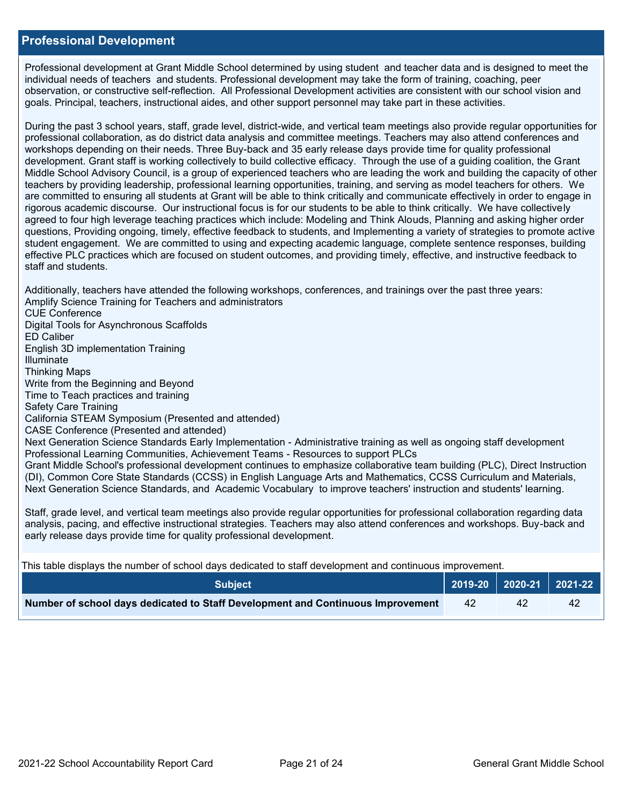### **Professional Development**

Professional development at Grant Middle School determined by using student and teacher data and is designed to meet the individual needs of teachers and students. Professional development may take the form of training, coaching, peer observation, or constructive self-reflection. All Professional Development activities are consistent with our school vision and goals. Principal, teachers, instructional aides, and other support personnel may take part in these activities.

During the past 3 school years, staff, grade level, district-wide, and vertical team meetings also provide regular opportunities for professional collaboration, as do district data analysis and committee meetings. Teachers may also attend conferences and workshops depending on their needs. Three Buy-back and 35 early release days provide time for quality professional development. Grant staff is working collectively to build collective efficacy. Through the use of a guiding coalition, the Grant Middle School Advisory Council, is a group of experienced teachers who are leading the work and building the capacity of other teachers by providing leadership, professional learning opportunities, training, and serving as model teachers for others. We are committed to ensuring all students at Grant will be able to think critically and communicate effectively in order to engage in rigorous academic discourse. Our instructional focus is for our students to be able to think critically. We have collectively agreed to four high leverage teaching practices which include: Modeling and Think Alouds, Planning and asking higher order questions, Providing ongoing, timely, effective feedback to students, and Implementing a variety of strategies to promote active student engagement. We are committed to using and expecting academic language, complete sentence responses, building effective PLC practices which are focused on student outcomes, and providing timely, effective, and instructive feedback to staff and students.

Additionally, teachers have attended the following workshops, conferences, and trainings over the past three years: Amplify Science Training for Teachers and administrators CUE Conference Digital Tools for Asynchronous Scaffolds ED Caliber English 3D implementation Training Illuminate Thinking Maps Write from the Beginning and Beyond Time to Teach practices and training Safety Care Training California STEAM Symposium (Presented and attended) CASE Conference (Presented and attended) Next Generation Science Standards Early Implementation - Administrative training as well as ongoing staff development Professional Learning Communities, Achievement Teams - Resources to support PLCs Grant Middle School's professional development continues to emphasize collaborative team building (PLC), Direct Instruction (DI), Common Core State Standards (CCSS) in English Language Arts and Mathematics, CCSS Curriculum and Materials, Next Generation Science Standards, and Academic Vocabulary to improve teachers' instruction and students' learning. Staff, grade level, and vertical team meetings also provide regular opportunities for professional collaboration regarding data analysis, pacing, and effective instructional strategies. Teachers may also attend conferences and workshops. Buy-back and early release days provide time for quality professional development.

This table displays the number of school days dedicated to staff development and continuous improvement.

| <b>Subiect</b>                                                                  |    |    | $\vert$ 2019-20 $\vert$ 2020-21 $\vert$ 2021-22 $\vert$ |
|---------------------------------------------------------------------------------|----|----|---------------------------------------------------------|
| Number of school days dedicated to Staff Development and Continuous Improvement | 42 | 42 | 42                                                      |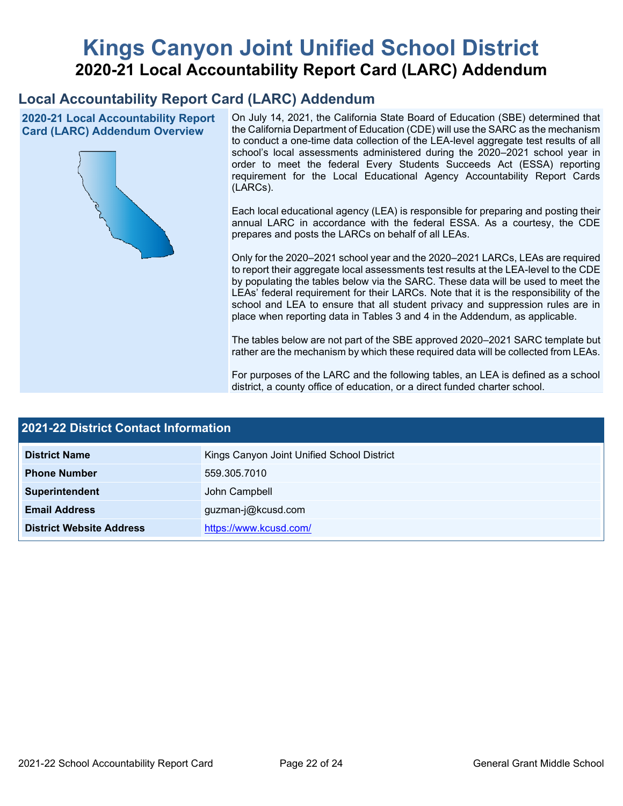# **Kings Canyon Joint Unified School District 2020-21 Local Accountability Report Card (LARC) Addendum**

## **Local Accountability Report Card (LARC) Addendum**

**2020-21 Local Accountability Report Card (LARC) Addendum Overview**



On July 14, 2021, the California State Board of Education (SBE) determined that the California Department of Education (CDE) will use the SARC as the mechanism to conduct a one-time data collection of the LEA-level aggregate test results of all school's local assessments administered during the 2020–2021 school year in order to meet the federal Every Students Succeeds Act (ESSA) reporting requirement for the Local Educational Agency Accountability Report Cards (LARCs).

Each local educational agency (LEA) is responsible for preparing and posting their annual LARC in accordance with the federal ESSA. As a courtesy, the CDE prepares and posts the LARCs on behalf of all LEAs.

Only for the 2020–2021 school year and the 2020–2021 LARCs, LEAs are required to report their aggregate local assessments test results at the LEA-level to the CDE by populating the tables below via the SARC. These data will be used to meet the LEAs' federal requirement for their LARCs. Note that it is the responsibility of the school and LEA to ensure that all student privacy and suppression rules are in place when reporting data in Tables 3 and 4 in the Addendum, as applicable.

The tables below are not part of the SBE approved 2020–2021 SARC template but rather are the mechanism by which these required data will be collected from LEAs.

For purposes of the LARC and the following tables, an LEA is defined as a school district, a county office of education, or a direct funded charter school.

| <b>2021-22 District Contact Information</b> |                                            |  |  |  |
|---------------------------------------------|--------------------------------------------|--|--|--|
| <b>District Name</b>                        | Kings Canyon Joint Unified School District |  |  |  |
| <b>Phone Number</b>                         | 559.305.7010                               |  |  |  |
| Superintendent                              | John Campbell                              |  |  |  |
| <b>Email Address</b>                        | guzman-j@kcusd.com                         |  |  |  |
| <b>District Website Address</b>             | https://www.kcusd.com/                     |  |  |  |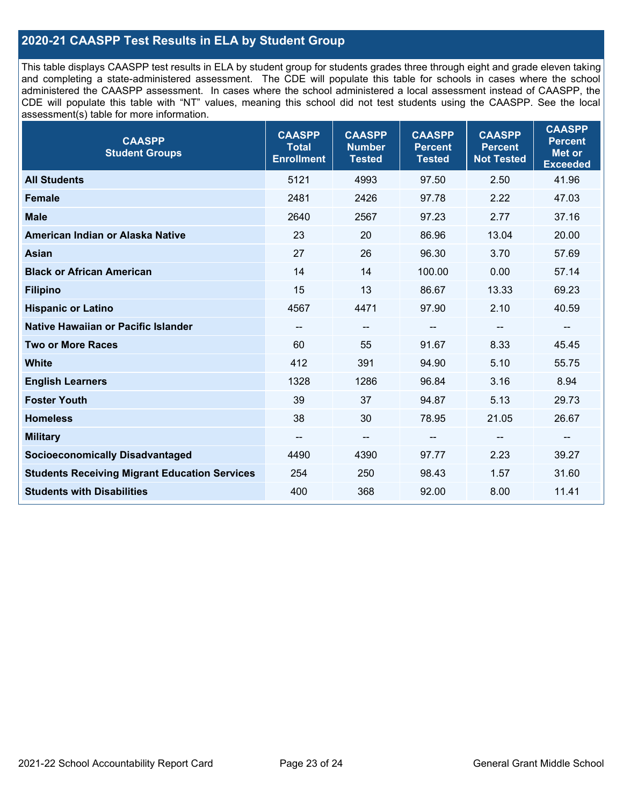## **2020-21 CAASPP Test Results in ELA by Student Group**

This table displays CAASPP test results in ELA by student group for students grades three through eight and grade eleven taking and completing a state-administered assessment. The CDE will populate this table for schools in cases where the school administered the CAASPP assessment. In cases where the school administered a local assessment instead of CAASPP, the CDE will populate this table with "NT" values, meaning this school did not test students using the CAASPP. See the local assessment(s) table for more information.

| <b>CAASPP</b><br><b>Student Groups</b>               | <b>CAASPP</b><br><b>Total</b><br><b>Enrollment</b> | <b>CAASPP</b><br><b>Number</b><br><b>Tested</b> | <b>CAASPP</b><br><b>Percent</b><br><b>Tested</b> | <b>CAASPP</b><br><b>Percent</b><br><b>Not Tested</b> | <b>CAASPP</b><br><b>Percent</b><br><b>Met or</b><br><b>Exceeded</b> |
|------------------------------------------------------|----------------------------------------------------|-------------------------------------------------|--------------------------------------------------|------------------------------------------------------|---------------------------------------------------------------------|
| <b>All Students</b>                                  | 5121                                               | 4993                                            | 97.50                                            | 2.50                                                 | 41.96                                                               |
| <b>Female</b>                                        | 2481                                               | 2426                                            | 97.78                                            | 2.22                                                 | 47.03                                                               |
| <b>Male</b>                                          | 2640                                               | 2567                                            | 97.23                                            | 2.77                                                 | 37.16                                                               |
| American Indian or Alaska Native                     | 23                                                 | 20                                              | 86.96                                            | 13.04                                                | 20.00                                                               |
| <b>Asian</b>                                         | 27                                                 | 26                                              | 96.30                                            | 3.70                                                 | 57.69                                                               |
| <b>Black or African American</b>                     | 14                                                 | 14                                              | 100.00                                           | 0.00                                                 | 57.14                                                               |
| <b>Filipino</b>                                      | 15                                                 | 13                                              | 86.67                                            | 13.33                                                | 69.23                                                               |
| <b>Hispanic or Latino</b>                            | 4567                                               | 4471                                            | 97.90                                            | 2.10                                                 | 40.59                                                               |
| Native Hawaiian or Pacific Islander                  | $\overline{\phantom{a}}$                           | $\overline{\phantom{m}}$                        | --                                               | $\overline{\phantom{a}}$                             | --                                                                  |
| <b>Two or More Races</b>                             | 60                                                 | 55                                              | 91.67                                            | 8.33                                                 | 45.45                                                               |
| <b>White</b>                                         | 412                                                | 391                                             | 94.90                                            | 5.10                                                 | 55.75                                                               |
| <b>English Learners</b>                              | 1328                                               | 1286                                            | 96.84                                            | 3.16                                                 | 8.94                                                                |
| <b>Foster Youth</b>                                  | 39                                                 | 37                                              | 94.87                                            | 5.13                                                 | 29.73                                                               |
| <b>Homeless</b>                                      | 38                                                 | 30                                              | 78.95                                            | 21.05                                                | 26.67                                                               |
| <b>Military</b>                                      | --                                                 | --                                              |                                                  | --                                                   | --                                                                  |
| <b>Socioeconomically Disadvantaged</b>               | 4490                                               | 4390                                            | 97.77                                            | 2.23                                                 | 39.27                                                               |
| <b>Students Receiving Migrant Education Services</b> | 254                                                | 250                                             | 98.43                                            | 1.57                                                 | 31.60                                                               |
| <b>Students with Disabilities</b>                    | 400                                                | 368                                             | 92.00                                            | 8.00                                                 | 11.41                                                               |